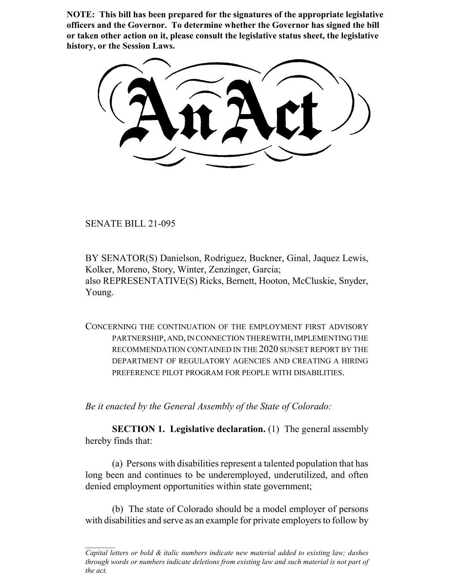**NOTE: This bill has been prepared for the signatures of the appropriate legislative officers and the Governor. To determine whether the Governor has signed the bill or taken other action on it, please consult the legislative status sheet, the legislative history, or the Session Laws.**

SENATE BILL 21-095

BY SENATOR(S) Danielson, Rodriguez, Buckner, Ginal, Jaquez Lewis, Kolker, Moreno, Story, Winter, Zenzinger, Garcia; also REPRESENTATIVE(S) Ricks, Bernett, Hooton, McCluskie, Snyder, Young.

CONCERNING THE CONTINUATION OF THE EMPLOYMENT FIRST ADVISORY PARTNERSHIP, AND, IN CONNECTION THEREWITH, IMPLEMENTING THE RECOMMENDATION CONTAINED IN THE 2020 SUNSET REPORT BY THE DEPARTMENT OF REGULATORY AGENCIES AND CREATING A HIRING PREFERENCE PILOT PROGRAM FOR PEOPLE WITH DISABILITIES.

*Be it enacted by the General Assembly of the State of Colorado:*

**SECTION 1. Legislative declaration.** (1) The general assembly hereby finds that:

(a) Persons with disabilities represent a talented population that has long been and continues to be underemployed, underutilized, and often denied employment opportunities within state government;

(b) The state of Colorado should be a model employer of persons with disabilities and serve as an example for private employers to follow by

*Capital letters or bold & italic numbers indicate new material added to existing law; dashes through words or numbers indicate deletions from existing law and such material is not part of the act.*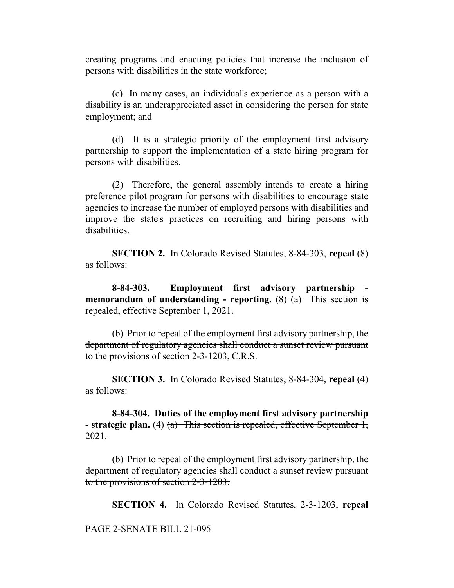creating programs and enacting policies that increase the inclusion of persons with disabilities in the state workforce;

(c) In many cases, an individual's experience as a person with a disability is an underappreciated asset in considering the person for state employment; and

(d) It is a strategic priority of the employment first advisory partnership to support the implementation of a state hiring program for persons with disabilities.

(2) Therefore, the general assembly intends to create a hiring preference pilot program for persons with disabilities to encourage state agencies to increase the number of employed persons with disabilities and improve the state's practices on recruiting and hiring persons with disabilities.

**SECTION 2.** In Colorado Revised Statutes, 8-84-303, **repeal** (8) as follows:

**8-84-303. Employment first advisory partnership memorandum of understanding - reporting.** (8)  $(a)$  This section is repealed, effective September 1, 2021.

(b) Prior to repeal of the employment first advisory partnership, the department of regulatory agencies shall conduct a sunset review pursuant to the provisions of section 2-3-1203, C.R.S.

**SECTION 3.** In Colorado Revised Statutes, 8-84-304, **repeal** (4) as follows:

**8-84-304. Duties of the employment first advisory partnership - strategic plan.** (4) (a) This section is repealed, effective September 1, 2021.

(b) Prior to repeal of the employment first advisory partnership, the department of regulatory agencies shall conduct a sunset review pursuant to the provisions of section 2-3-1203.

**SECTION 4.** In Colorado Revised Statutes, 2-3-1203, **repeal**

PAGE 2-SENATE BILL 21-095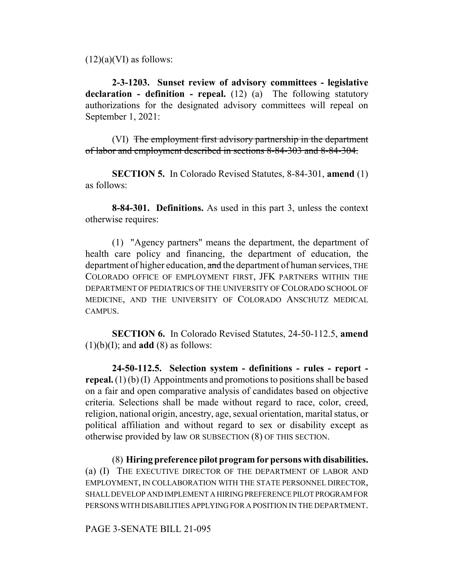$(12)(a)(VI)$  as follows:

**2-3-1203. Sunset review of advisory committees - legislative declaration - definition - repeal.** (12) (a) The following statutory authorizations for the designated advisory committees will repeal on September 1, 2021:

(VI) The employment first advisory partnership in the department of labor and employment described in sections 8-84-303 and 8-84-304.

**SECTION 5.** In Colorado Revised Statutes, 8-84-301, **amend** (1) as follows:

**8-84-301. Definitions.** As used in this part 3, unless the context otherwise requires:

(1) "Agency partners" means the department, the department of health care policy and financing, the department of education, the department of higher education, and the department of human services, THE COLORADO OFFICE OF EMPLOYMENT FIRST, JFK PARTNERS WITHIN THE DEPARTMENT OF PEDIATRICS OF THE UNIVERSITY OF COLORADO SCHOOL OF MEDICINE, AND THE UNIVERSITY OF COLORADO ANSCHUTZ MEDICAL CAMPUS.

**SECTION 6.** In Colorado Revised Statutes, 24-50-112.5, **amend**  $(1)(b)(I)$ ; and **add**  $(8)$  as follows:

**24-50-112.5. Selection system - definitions - rules - report repeal.** (1) (b) (I) Appointments and promotions to positions shall be based on a fair and open comparative analysis of candidates based on objective criteria. Selections shall be made without regard to race, color, creed, religion, national origin, ancestry, age, sexual orientation, marital status, or political affiliation and without regard to sex or disability except as otherwise provided by law OR SUBSECTION (8) OF THIS SECTION.

(8) **Hiring preference pilot program for persons with disabilities.** (a) (I) THE EXECUTIVE DIRECTOR OF THE DEPARTMENT OF LABOR AND EMPLOYMENT, IN COLLABORATION WITH THE STATE PERSONNEL DIRECTOR, SHALL DEVELOP AND IMPLEMENT A HIRING PREFERENCE PILOT PROGRAM FOR PERSONS WITH DISABILITIES APPLYING FOR A POSITION IN THE DEPARTMENT.

## PAGE 3-SENATE BILL 21-095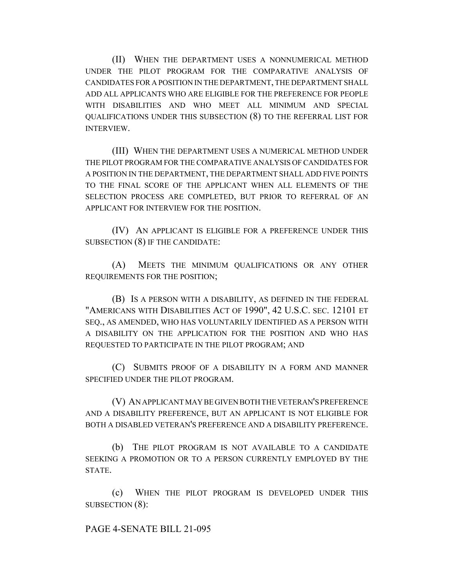(II) WHEN THE DEPARTMENT USES A NONNUMERICAL METHOD UNDER THE PILOT PROGRAM FOR THE COMPARATIVE ANALYSIS OF CANDIDATES FOR A POSITION IN THE DEPARTMENT, THE DEPARTMENT SHALL ADD ALL APPLICANTS WHO ARE ELIGIBLE FOR THE PREFERENCE FOR PEOPLE WITH DISABILITIES AND WHO MEET ALL MINIMUM AND SPECIAL QUALIFICATIONS UNDER THIS SUBSECTION (8) TO THE REFERRAL LIST FOR INTERVIEW.

(III) WHEN THE DEPARTMENT USES A NUMERICAL METHOD UNDER THE PILOT PROGRAM FOR THE COMPARATIVE ANALYSIS OF CANDIDATES FOR A POSITION IN THE DEPARTMENT, THE DEPARTMENT SHALL ADD FIVE POINTS TO THE FINAL SCORE OF THE APPLICANT WHEN ALL ELEMENTS OF THE SELECTION PROCESS ARE COMPLETED, BUT PRIOR TO REFERRAL OF AN APPLICANT FOR INTERVIEW FOR THE POSITION.

(IV) AN APPLICANT IS ELIGIBLE FOR A PREFERENCE UNDER THIS SUBSECTION (8) IF THE CANDIDATE:

(A) MEETS THE MINIMUM QUALIFICATIONS OR ANY OTHER REQUIREMENTS FOR THE POSITION;

(B) IS A PERSON WITH A DISABILITY, AS DEFINED IN THE FEDERAL "AMERICANS WITH DISABILITIES ACT OF 1990", 42 U.S.C. SEC. 12101 ET SEQ., AS AMENDED, WHO HAS VOLUNTARILY IDENTIFIED AS A PERSON WITH A DISABILITY ON THE APPLICATION FOR THE POSITION AND WHO HAS REQUESTED TO PARTICIPATE IN THE PILOT PROGRAM; AND

(C) SUBMITS PROOF OF A DISABILITY IN A FORM AND MANNER SPECIFIED UNDER THE PILOT PROGRAM.

(V) AN APPLICANT MAY BE GIVEN BOTH THE VETERAN'S PREFERENCE AND A DISABILITY PREFERENCE, BUT AN APPLICANT IS NOT ELIGIBLE FOR BOTH A DISABLED VETERAN'S PREFERENCE AND A DISABILITY PREFERENCE.

(b) THE PILOT PROGRAM IS NOT AVAILABLE TO A CANDIDATE SEEKING A PROMOTION OR TO A PERSON CURRENTLY EMPLOYED BY THE STATE.

(c) WHEN THE PILOT PROGRAM IS DEVELOPED UNDER THIS SUBSECTION (8):

## PAGE 4-SENATE BILL 21-095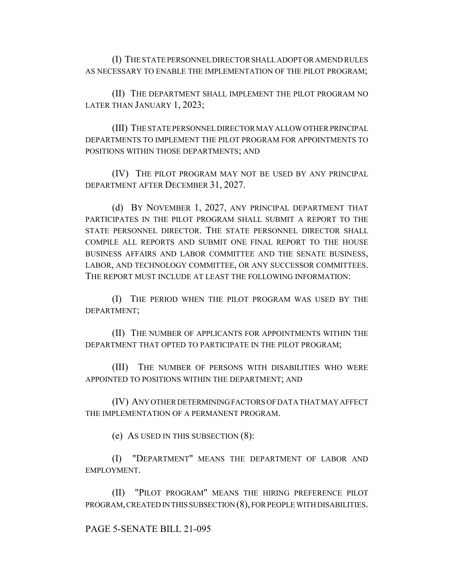(I) THE STATE PERSONNEL DIRECTOR SHALL ADOPT OR AMEND RULES AS NECESSARY TO ENABLE THE IMPLEMENTATION OF THE PILOT PROGRAM;

(II) THE DEPARTMENT SHALL IMPLEMENT THE PILOT PROGRAM NO LATER THAN JANUARY 1, 2023;

(III) THE STATE PERSONNEL DIRECTOR MAY ALLOW OTHER PRINCIPAL DEPARTMENTS TO IMPLEMENT THE PILOT PROGRAM FOR APPOINTMENTS TO POSITIONS WITHIN THOSE DEPARTMENTS; AND

(IV) THE PILOT PROGRAM MAY NOT BE USED BY ANY PRINCIPAL DEPARTMENT AFTER DECEMBER 31, 2027.

(d) BY NOVEMBER 1, 2027, ANY PRINCIPAL DEPARTMENT THAT PARTICIPATES IN THE PILOT PROGRAM SHALL SUBMIT A REPORT TO THE STATE PERSONNEL DIRECTOR. THE STATE PERSONNEL DIRECTOR SHALL COMPILE ALL REPORTS AND SUBMIT ONE FINAL REPORT TO THE HOUSE BUSINESS AFFAIRS AND LABOR COMMITTEE AND THE SENATE BUSINESS, LABOR, AND TECHNOLOGY COMMITTEE, OR ANY SUCCESSOR COMMITTEES. THE REPORT MUST INCLUDE AT LEAST THE FOLLOWING INFORMATION:

(I) THE PERIOD WHEN THE PILOT PROGRAM WAS USED BY THE DEPARTMENT;

(II) THE NUMBER OF APPLICANTS FOR APPOINTMENTS WITHIN THE DEPARTMENT THAT OPTED TO PARTICIPATE IN THE PILOT PROGRAM;

(III) THE NUMBER OF PERSONS WITH DISABILITIES WHO WERE APPOINTED TO POSITIONS WITHIN THE DEPARTMENT; AND

(IV) ANY OTHER DETERMINING FACTORS OF DATA THAT MAY AFFECT THE IMPLEMENTATION OF A PERMANENT PROGRAM.

(e) AS USED IN THIS SUBSECTION (8):

(I) "DEPARTMENT" MEANS THE DEPARTMENT OF LABOR AND EMPLOYMENT.

(II) "PILOT PROGRAM" MEANS THE HIRING PREFERENCE PILOT PROGRAM, CREATED IN THIS SUBSECTION (8), FOR PEOPLE WITH DISABILITIES.

## PAGE 5-SENATE BILL 21-095